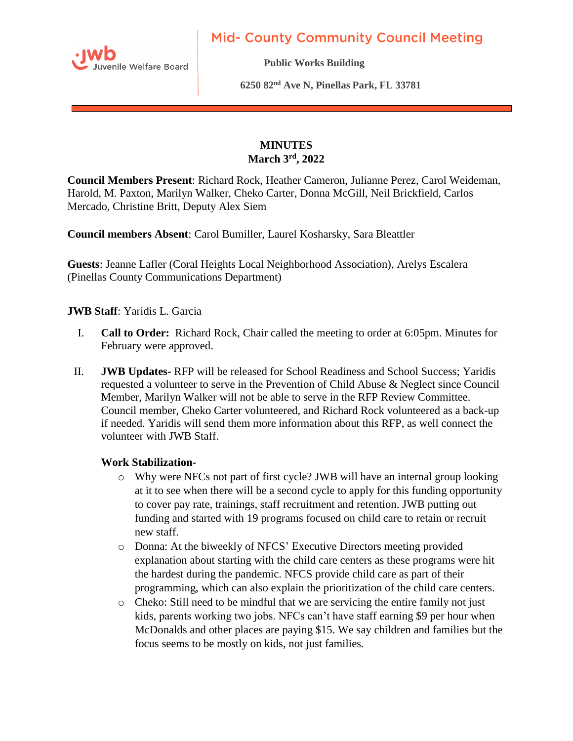

**Mid- County Community Council Meeting** 

**Public Works Building** 

 **6250 82nd Ave N, Pinellas Park, FL 33781** 

# **MINUTES March 3rd , 2022**

**Council Members Present**: Richard Rock, Heather Cameron, Julianne Perez, Carol Weideman, Harold, M. Paxton, Marilyn Walker, Cheko Carter, Donna McGill, Neil Brickfield, Carlos Mercado, Christine Britt, Deputy Alex Siem

**Council members Absent**: Carol Bumiller, Laurel Kosharsky, Sara Bleattler

**Guests**: Jeanne Lafler (Coral Heights Local Neighborhood Association), Arelys Escalera (Pinellas County Communications Department)

### **JWB Staff**: Yaridis L. Garcia

- I. **Call to Order:** Richard Rock, Chair called the meeting to order at 6:05pm. Minutes for February were approved.
- II. **JWB Updates-** RFP will be released for School Readiness and School Success; Yaridis requested a volunteer to serve in the Prevention of Child Abuse & Neglect since Council Member, Marilyn Walker will not be able to serve in the RFP Review Committee. Council member, Cheko Carter volunteered, and Richard Rock volunteered as a back-up if needed. Yaridis will send them more information about this RFP, as well connect the volunteer with JWB Staff.

#### **Work Stabilization-**

- o Why were NFCs not part of first cycle? JWB will have an internal group looking at it to see when there will be a second cycle to apply for this funding opportunity to cover pay rate, trainings, staff recruitment and retention. JWB putting out funding and started with 19 programs focused on child care to retain or recruit new staff.
- o Donna: At the biweekly of NFCS' Executive Directors meeting provided explanation about starting with the child care centers as these programs were hit the hardest during the pandemic. NFCS provide child care as part of their programming, which can also explain the prioritization of the child care centers.
- o Cheko: Still need to be mindful that we are servicing the entire family not just kids, parents working two jobs. NFCs can't have staff earning \$9 per hour when McDonalds and other places are paying \$15. We say children and families but the focus seems to be mostly on kids, not just families.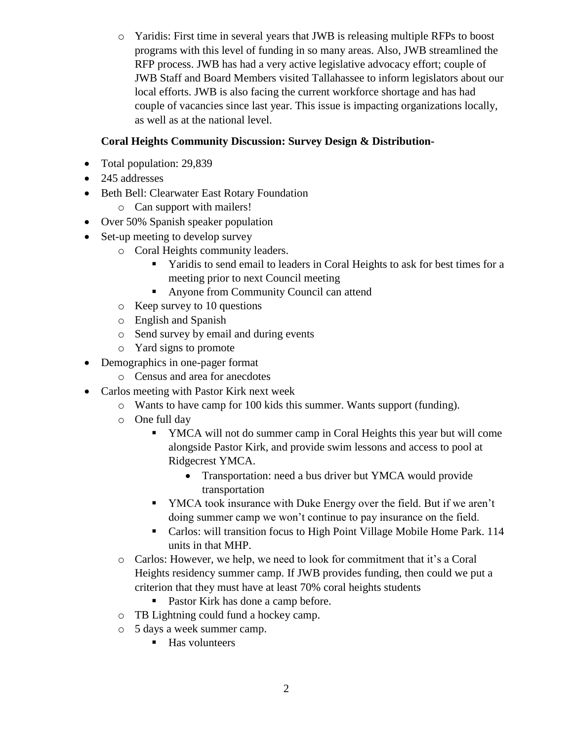o Yaridis: First time in several years that JWB is releasing multiple RFPs to boost programs with this level of funding in so many areas. Also, JWB streamlined the RFP process. JWB has had a very active legislative advocacy effort; couple of JWB Staff and Board Members visited Tallahassee to inform legislators about our local efforts. JWB is also facing the current workforce shortage and has had couple of vacancies since last year. This issue is impacting organizations locally, as well as at the national level.

# **Coral Heights Community Discussion: Survey Design & Distribution-**

- Total population: 29,839
- 245 addresses
- Beth Bell: Clearwater East Rotary Foundation
	- o Can support with mailers!
- Over 50% Spanish speaker population
- Set-up meeting to develop survey
	- o Coral Heights community leaders.
		- **EXECUTE:** Yaridis to send email to leaders in Coral Heights to ask for best times for a meeting prior to next Council meeting
		- Anyone from Community Council can attend
	- o Keep survey to 10 questions
	- o English and Spanish
	- o Send survey by email and during events
	- o Yard signs to promote
- Demographics in one-pager format
	- o Census and area for anecdotes
- Carlos meeting with Pastor Kirk next week
	- o Wants to have camp for 100 kids this summer. Wants support (funding).
	- o One full day
		- YMCA will not do summer camp in Coral Heights this year but will come alongside Pastor Kirk, and provide swim lessons and access to pool at Ridgecrest YMCA.
			- Transportation: need a bus driver but YMCA would provide transportation
		- YMCA took insurance with Duke Energy over the field. But if we aren't doing summer camp we won't continue to pay insurance on the field.
		- Carlos: will transition focus to High Point Village Mobile Home Park. 114 units in that MHP.
	- o Carlos: However, we help, we need to look for commitment that it's a Coral Heights residency summer camp. If JWB provides funding, then could we put a criterion that they must have at least 70% coral heights students
		- Pastor Kirk has done a camp before.
	- o TB Lightning could fund a hockey camp.
	- o 5 days a week summer camp.
		- Has volunteers